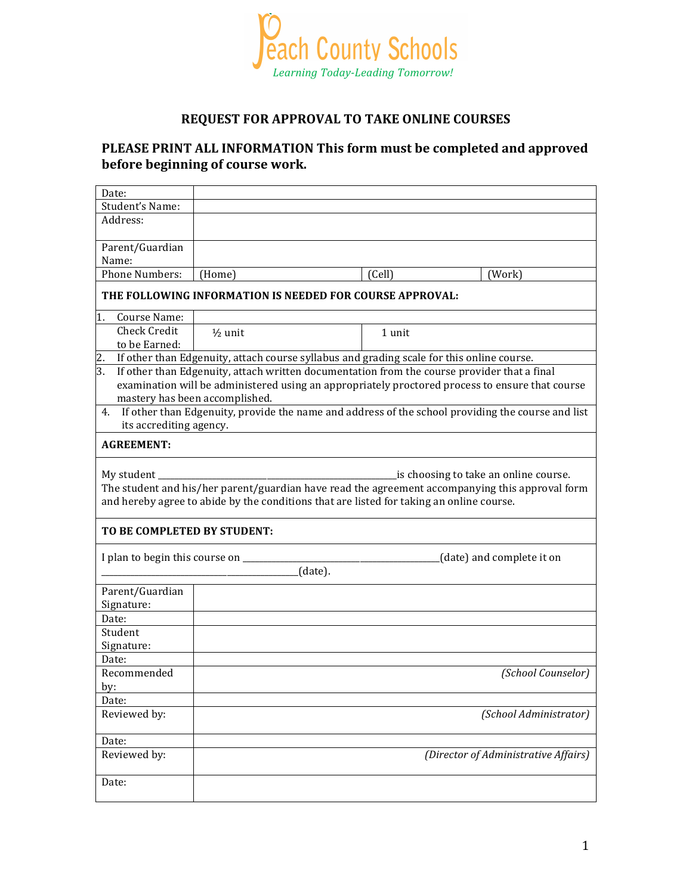

## **REQUEST FOR APPROVAL TO TAKE ONLINE COURSES**

## PLEASE PRINT ALL INFORMATION This form must be completed and approved before beginning of course work.

| Date:                                                                                                                                                                                                                                              |                                                                                              |        |        |  |
|----------------------------------------------------------------------------------------------------------------------------------------------------------------------------------------------------------------------------------------------------|----------------------------------------------------------------------------------------------|--------|--------|--|
| Student's Name:                                                                                                                                                                                                                                    |                                                                                              |        |        |  |
| Address:                                                                                                                                                                                                                                           |                                                                                              |        |        |  |
| Parent/Guardian                                                                                                                                                                                                                                    |                                                                                              |        |        |  |
| Name:                                                                                                                                                                                                                                              |                                                                                              |        |        |  |
| <b>Phone Numbers:</b>                                                                                                                                                                                                                              | (Home)                                                                                       | (Cell) | (Work) |  |
| THE FOLLOWING INFORMATION IS NEEDED FOR COURSE APPROVAL:                                                                                                                                                                                           |                                                                                              |        |        |  |
| 1. Course Name:                                                                                                                                                                                                                                    |                                                                                              |        |        |  |
| Check Credit                                                                                                                                                                                                                                       | $\frac{1}{2}$ unit                                                                           | 1 unit |        |  |
| to be Earned:                                                                                                                                                                                                                                      |                                                                                              |        |        |  |
|                                                                                                                                                                                                                                                    | 2. If other than Edgenuity, attach course syllabus and grading scale for this online course. |        |        |  |
| 3.                                                                                                                                                                                                                                                 | If other than Edgenuity, attach written documentation from the course provider that a final  |        |        |  |
| examination will be administered using an appropriately proctored process to ensure that course                                                                                                                                                    |                                                                                              |        |        |  |
|                                                                                                                                                                                                                                                    | mastery has been accomplished.                                                               |        |        |  |
| 4. If other than Edgenuity, provide the name and address of the school providing the course and list<br>its accrediting agency.                                                                                                                    |                                                                                              |        |        |  |
| <b>AGREEMENT:</b>                                                                                                                                                                                                                                  |                                                                                              |        |        |  |
| My student<br>is choosing to take an online course.<br>The student and his/her parent/guardian have read the agreement accompanying this approval form<br>and hereby agree to abide by the conditions that are listed for taking an online course. |                                                                                              |        |        |  |
| TO BE COMPLETED BY STUDENT:                                                                                                                                                                                                                        |                                                                                              |        |        |  |
| I plan to begin this course on ________<br>(date) and complete it on<br>(date).                                                                                                                                                                    |                                                                                              |        |        |  |
| Parent/Guardian                                                                                                                                                                                                                                    |                                                                                              |        |        |  |
| Signature:                                                                                                                                                                                                                                         |                                                                                              |        |        |  |
| Date:                                                                                                                                                                                                                                              |                                                                                              |        |        |  |
| Student                                                                                                                                                                                                                                            |                                                                                              |        |        |  |
| Signature:                                                                                                                                                                                                                                         |                                                                                              |        |        |  |
| Date:                                                                                                                                                                                                                                              |                                                                                              |        |        |  |
| Recommended                                                                                                                                                                                                                                        | (School Counselor)                                                                           |        |        |  |
| by:                                                                                                                                                                                                                                                |                                                                                              |        |        |  |
| Date:                                                                                                                                                                                                                                              |                                                                                              |        |        |  |
| Reviewed by:                                                                                                                                                                                                                                       | (School Administrator)                                                                       |        |        |  |
| Date:                                                                                                                                                                                                                                              |                                                                                              |        |        |  |
| Reviewed by:                                                                                                                                                                                                                                       | (Director of Administrative Affairs)                                                         |        |        |  |
| Date:                                                                                                                                                                                                                                              |                                                                                              |        |        |  |